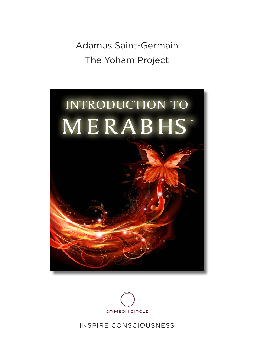Adamus Saint-Germain The Yoham Project





INSPIRE CONSCIOUSNESS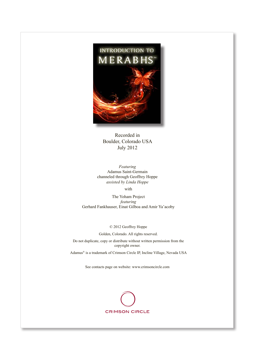

Recorded in Boulder, Colorado USA July 2012

*Featuring* Adamus Saint-Germain channeled through Geoffrey Hoppe *assisted by Linda Hoppe*

with

The Yoham Project *featuring* Gerhard Fankhauser, Einat Gilboa and Amir Ya'acoby

© 2012 Geoffrey Hoppe

Golden, Colorado. All rights reserved.

Do not duplicate, copy or distribute without written permission from the copyright owner.

Adamus® is a trademark of Crimson Circle IP, Incline Village, Nevada USA

See contacts page on website: www.crimsoncircle.com

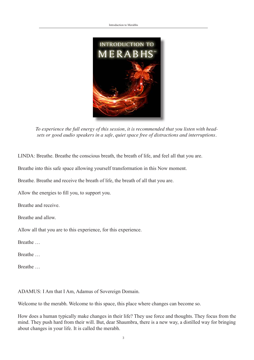

*To experience the full energy of this session, it is recommended that you listen with headsets or good audio speakers in a safe, quiet space free of distractions and interruptions.* 

LINDA: Breathe. Breathe the conscious breath, the breath of life, and feel all that you are.

Breathe into this safe space allowing yourself transformation in this Now moment.

Breathe. Breathe and receive the breath of life, the breath of all that you are.

Allow the energies to fill you, to support you.

Breathe and receive.

Breathe and allow.

Allow all that you are to this experience, for this experience.

**Breathe** 

Breathe …

**Breathe** 

ADAMUS: I Am that I Am, Adamus of Sovereign Domain.

Welcome to the merabh. Welcome to this space, this place where changes can become so.

How does a human typically make changes in their life? They use force and thoughts. They focus from the mind. They push hard from their will. But, dear Shaumbra, there is a new way, a distilled way for bringing about changes in your life. It is called the merabh.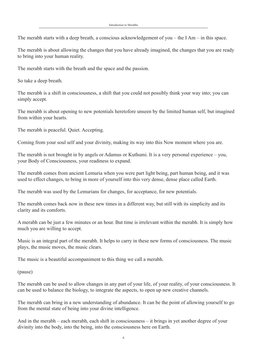The merabh starts with a deep breath, a conscious acknowledgement of you – the I Am – in this space.

The merabh is about allowing the changes that you have already imagined, the changes that you are ready to bring into your human reality.

The merabh starts with the breath and the space and the passion.

So take a deep breath.

The merabh is a shift in consciousness, a shift that you could not possibly think your way into; you can simply accept.

The merabh is about opening to new potentials heretofore unseen by the limited human self, but imagined from within your hearts.

The merabh is peaceful. Quiet. Accepting.

Coming from your soul self and your divinity, making its way into this Now moment where you are.

The merabh is not brought in by angels or Adamus or Kuthumi. It is a very personal experience – you, your Body of Consciousness, your readiness to expand.

The merabh comes from ancient Lemuria when you were part light being, part human being, and it was used to effect changes, to bring in more of yourself into this very dense, dense place called Earth.

The merabh was used by the Lemurians for changes, for acceptance, for new potentials.

The merabh comes back now in these new times in a different way, but still with its simplicity and its clarity and its comforts.

A merabh can be just a few minutes or an hour. But time is irrelevant within the merabh. It is simply how much you are willing to accept.

Music is an integral part of the merabh. It helps to carry in these new forms of consciousness. The music plays, the music moves, the music clears.

The music is a beautiful accompaniment to this thing we call a merabh.

(pause)

The merabh can be used to allow changes in any part of your life, of your reality, of your consciousness. It can be used to balance the biology, to integrate the aspects, to open up new creative channels.

The merabh can bring in a new understanding of abundance. It can be the point of allowing yourself to go from the mental state of being into your divine intelligence.

And in the merabh – each merabh, each shift in consciousness – it brings in yet another degree of your divinity into the body, into the being, into the consciousness here on Earth.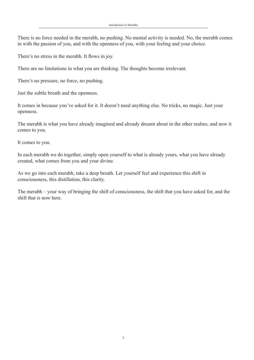There is no force needed in the merabh, no pushing. No mental activity is needed. No, the merabh comes in with the passion of you, and with the openness of you, with your feeling and your choice.

There's no stress in the merabh. It flows in joy.

There are no limitations in what you are thinking. The thoughts become irrelevant.

There's no pressure, no force, no pushing.

Just the subtle breath and the openness.

It comes in because you've asked for it. It doesn't need anything else. No tricks, no magic. Just your openness.

The merabh is what you have already imagined and already dreamt about in the other realms, and now it comes to you.

It comes to you.

In each merabh we do together, simply open yourself to what is already yours, what you have already created, what comes from you and your divine.

As we go into each merabh, take a deep breath. Let yourself feel and experience this shift in consciousness, this distillation, this clarity.

The merabh – your way of bringing the shift of consciousness, the shift that you have asked for, and the shift that is now here.